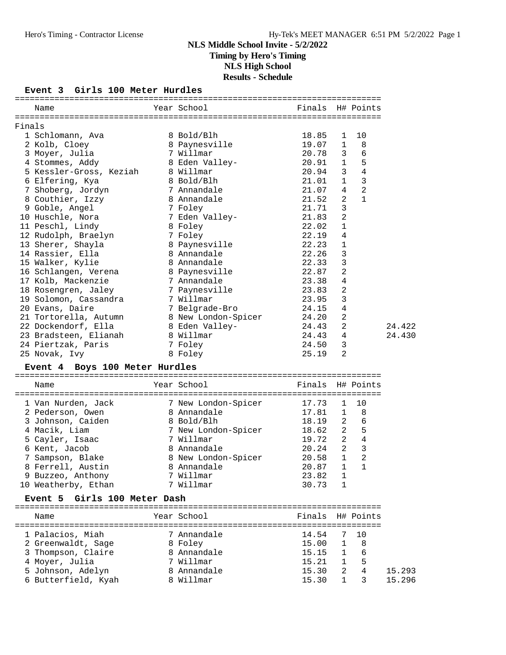### **Event 3 Girls 100 Meter Hurdles**

|        | Name                                       | Year School                 | Finals H# Points |                   |                 |        |
|--------|--------------------------------------------|-----------------------------|------------------|-------------------|-----------------|--------|
|        |                                            |                             |                  |                   |                 |        |
| Finals |                                            |                             |                  |                   |                 |        |
|        | 1 Schlomann, Ava                           | 8 Bold/Blh                  | 18.85<br>19.07   | 1                 | 10              |        |
|        | 2 Kolb, Cloey                              | 8 Paynesville<br>7 Willmar  | 20.78            | $\mathbf 1$<br>3  | 8<br>6          |        |
|        | 3 Moyer, Julia                             |                             | 20.91            | $\mathbf{1}$      | $\overline{5}$  |        |
|        | 4 Stommes, Addy<br>5 Kessler-Gross, Keziah | 8 Eden Valley-<br>8 Willmar | 20.94            | 3                 | $\overline{4}$  |        |
|        | 6 Elfering, Kya                            | 8 Bold/Blh                  | 21.01            | $\mathbf{1}$      | $\overline{3}$  |        |
|        | 7 Shoberg, Jordyn                          | 7 Annandale                 | 21.07            | 4                 | $\overline{2}$  |        |
|        | 8 Couthier, Izzy                           | 8 Annandale                 | 21.52            | $\overline{2}$    | $\mathbf{1}$    |        |
|        | 9 Goble, Angel                             | 7 Foley                     | 21.71            | 3                 |                 |        |
|        | 10 Huschle, Nora                           | 7 Eden Valley-              | 21.83            | 2                 |                 |        |
|        | 11 Peschl, Lindy                           | 8 Foley                     | 22.02            | 1                 |                 |        |
|        | 12 Rudolph, Braelyn                        | 7 Foley                     | 22.19            | 4                 |                 |        |
|        | 13 Sherer, Shayla                          | 8 Paynesville               | 22.23            | $\mathbf{1}$      |                 |        |
|        | 14 Rassier, Ella                           | 8 Annandale                 | 22.26            | 3                 |                 |        |
|        | 15 Walker, Kylie                           | 8 Annandale                 | 22.33            | 3                 |                 |        |
|        | 16 Schlangen, Verena                       | 8 Paynesville               | 22.87            | 2                 |                 |        |
|        | 17 Kolb, Mackenzie                         | 7 Annandale                 | 23.38            | 4                 |                 |        |
|        | 18 Rosengren, Jaley                        | 7 Paynesville               | 23.83            | 2                 |                 |        |
|        | 19 Solomon, Cassandra                      | 7 Willmar                   | 23.95            | 3                 |                 |        |
|        | 20 Evans, Daire                            | 7 Belgrade-Bro              | 24.15            | 4                 |                 |        |
|        | 21 Tortorella, Autumn                      | 8 New London-Spicer         | 24.20            | 2                 |                 |        |
|        | 22 Dockendorf, Ella                        | 8 Eden Valley-              | 24.43            | 2                 |                 | 24.422 |
|        | 23 Bradsteen, Elianah                      | 8 Willmar                   | 24.43            | 4                 |                 | 24.430 |
|        | 24 Piertzak, Paris                         | 7 Foley                     | 24.50            | 3                 |                 |        |
|        | 25 Novak, Ivy                              | 8 Foley                     | 25.19            | 2                 |                 |        |
|        | Event 4 Boys 100 Meter Hurdles             |                             |                  |                   |                 |        |
|        | Name                                       | Year School                 | Finals           |                   | H# Points       |        |
|        | 1 Van Nurden, Jack                         | 7 New London-Spicer         | 17.73            | 1                 | 10              |        |
|        | 2 Pederson, Owen                           | 8 Annandale                 | 17.81            | $\mathbf{1}$      | 8               |        |
|        | 3 Johnson, Caiden                          | 8 Bold/Blh                  | 18.19            | 2                 | $6\overline{6}$ |        |
|        | 4 Macik, Liam                              | 7 New London-Spicer         | 18.62            |                   | 2 <sub>5</sub>  |        |
|        | 5 Cayler, Isaac                            | 7 Willmar                   | 19.72            |                   | $2\quad 4$      |        |
|        | 6 Kent, Jacob                              | 8 Annandale                 | 20.24            | $\overline{2}$    | $\overline{3}$  |        |
|        | 7 Sampson, Blake                           | 8 New London-Spicer         | 20.58            | $\mathbf{1}$      | $\overline{2}$  |        |
|        | 8 Ferrell, Austin                          | 8 Annandale                 | 20.87 1          |                   | $\mathbf{1}$    |        |
|        | 9 Buzzeo, Anthony                          | 7 Willmar                   | 23.82            | 1                 |                 |        |
|        | 10 Weatherby, Ethan                        | 7 Willmar                   | 30.73            | 1                 |                 |        |
|        | Girls 100 Meter Dash<br><b>Event 5</b>     |                             |                  |                   |                 |        |
|        | Name                                       | Year School                 | Finals           |                   | H# Points       |        |
|        |                                            |                             |                  |                   |                 |        |
|        | 1 Palacios, Miah                           | 7 Annandale                 | 14.54            | 7                 | 10              |        |
|        | 2 Greenwaldt, Sage                         | 8 Foley                     | 15.00            | 1                 | 8<br>6          |        |
|        | 3 Thompson, Claire                         | 8 Annandale<br>7 Willmar    | 15.15<br>15.21   | 1<br>$\mathbf{1}$ | 5               |        |
|        | 4 Moyer, Julia<br>5 Johnson, Adelyn        | 8 Annandale                 | 15.30            | 2                 | $\overline{4}$  | 15.293 |
|        | 6 Butterfield, Kyah                        | 8 Willmar                   | 15.30            | $\mathbf{1}$      | 3               | 15.296 |
|        |                                            |                             |                  |                   |                 |        |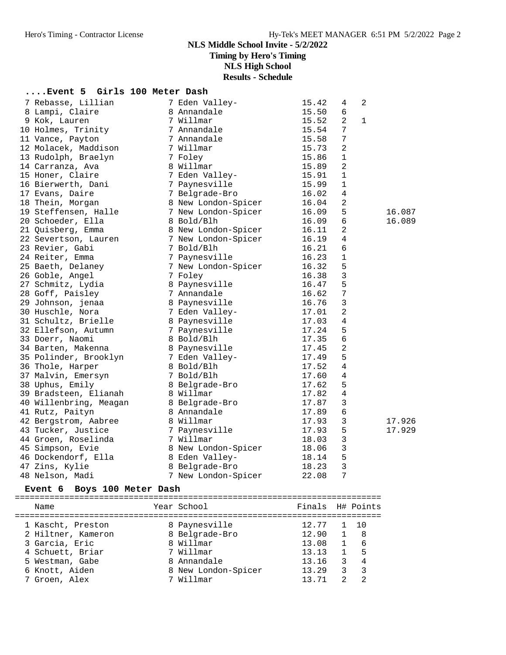## **NLS Middle School Invite - 5/2/2022 Timing by Hero's Timing**

**NLS High School**

**Results - Schedule**

## **....Event 5 Girls 100 Meter Dash**

| 7 Rebasse, Lillian     | 7 Eden Valley-      | 15.42 | 4              | 2            |        |
|------------------------|---------------------|-------|----------------|--------------|--------|
| 8 Lampi, Claire        | 8 Annandale         | 15.50 | 6              |              |        |
| 9 Kok, Lauren          | 7 Willmar           | 15.52 | 2              | $\mathbf{1}$ |        |
| 10 Holmes, Trinity     | 7 Annandale         | 15.54 | 7              |              |        |
| 11 Vance, Payton       | 7 Annandale         | 15.58 | $\overline{7}$ |              |        |
| 12 Molacek, Maddison   | 7 Willmar           | 15.73 | 2              |              |        |
| 13 Rudolph, Braelyn    | 7 Foley             | 15.86 | 1              |              |        |
| 14 Carranza, Ava       | 8 Willmar           | 15.89 | 2              |              |        |
| 15 Honer, Claire       | 7 Eden Valley-      | 15.91 | $\mathbf{1}$   |              |        |
| 16 Bierwerth, Dani     | 7 Paynesville       | 15.99 | $\mathbf{1}$   |              |        |
| 17 Evans, Daire        | 7 Belgrade-Bro      | 16.02 | 4              |              |        |
| 18 Thein, Morgan       | 8 New London-Spicer | 16.04 | 2              |              |        |
| 19 Steffensen, Halle   | 7 New London-Spicer | 16.09 | 5              |              | 16.087 |
| 20 Schoeder, Ella      | 8 Bold/Blh          | 16.09 | 6              |              | 16.089 |
| 21 Quisberg, Emma      | 8 New London-Spicer | 16.11 | $\overline{a}$ |              |        |
| 22 Severtson, Lauren   | 7 New London-Spicer | 16.19 | 4              |              |        |
| 23 Revier, Gabi        | 7 Bold/Blh          | 16.21 | 6              |              |        |
| 24 Reiter, Emma        | 7 Paynesville       | 16.23 | $\mathbf 1$    |              |        |
| 25 Baeth, Delaney      | 7 New London-Spicer | 16.32 | 5              |              |        |
| 26 Goble, Angel        | 7 Foley             | 16.38 | $\mathbf{3}$   |              |        |
| 27 Schmitz, Lydia      | 8 Paynesville       | 16.47 | 5              |              |        |
| 28 Goff, Paisley       | 7 Annandale         | 16.62 | 7              |              |        |
| 29 Johnson, jenaa      | 8 Paynesville       | 16.76 | $\mathbf{3}$   |              |        |
| 30 Huschle, Nora       | 7 Eden Valley-      | 17.01 | $\overline{a}$ |              |        |
| 31 Schultz, Brielle    | 8 Paynesville       | 17.03 | 4              |              |        |
| 32 Ellefson, Autumn    | 7 Paynesville       | 17.24 | 5              |              |        |
| 33 Doerr, Naomi        | 8 Bold/Blh          | 17.35 | 6              |              |        |
| 34 Barten, Makenna     | 8 Paynesville       | 17.45 | $\overline{2}$ |              |        |
| 35 Polinder, Brooklyn  | 7 Eden Valley-      | 17.49 | 5              |              |        |
| 36 Thole, Harper       | 8 Bold/Blh          | 17.52 | 4              |              |        |
| 37 Malvin, Emersyn     | 7 Bold/Blh          | 17.60 | 4              |              |        |
| 38 Uphus, Emily        | 8 Belgrade-Bro      | 17.62 | 5              |              |        |
| 39 Bradsteen, Elianah  | 8 Willmar           | 17.82 | $\sqrt{4}$     |              |        |
| 40 Willenbring, Meagan | 8 Belgrade-Bro      | 17.87 | 3              |              |        |
| 41 Rutz, Paityn        | 8 Annandale         | 17.89 | 6              |              |        |
| 42 Bergstrom, Aabree   | 8 Willmar           | 17.93 | 3              |              | 17.926 |
| 43 Tucker, Justice     | 7 Paynesville       | 17.93 | 5              |              | 17.929 |
| 44 Groen, Roselinda    | 7 Willmar           | 18.03 | $\mathsf 3$    |              |        |
| 45 Simpson, Evie       | 8 New London-Spicer | 18.06 | 3              |              |        |
| 46 Dockendorf, Ella    | 8 Eden Valley-      | 18.14 | 5              |              |        |
| 47 Zins, Kylie         | 8 Belgrade-Bro      | 18.23 | $\mathbf{3}$   |              |        |
| 48 Nelson, Madi        | 7 New London-Spicer | 22.08 | 7              |              |        |

### **Event 6 Boys 100 Meter Dash**

| Name               | Year School         | Finals H# Points |               |                         |
|--------------------|---------------------|------------------|---------------|-------------------------|
| 1 Kascht, Preston  | 8 Paynesville       | 12.77            | $1 \quad 10$  |                         |
| 2 Hiltner, Kameron | 8 Belgrade-Bro      | 12.90            | $\frac{1}{2}$ | - 8                     |
| 3 Garcia, Eric     | 8 Willmar           | 13.08            | $\mathbf{1}$  | 6                       |
| 4 Schuett, Briar   | 7 Willmar           | 13.13            | $\mathbf{1}$  | $-5$                    |
| 5 Westman, Gabe    | 8 Annandale         | 13.16            | 3             | $\overline{4}$          |
| 6 Knott, Aiden     | 8 New London-Spicer | 13.29            | २             | $\overline{\mathbf{3}}$ |
| 7 Groen, Alex      | 7 Willmar           | 13 71            | $\mathcal{D}$ | ⌒                       |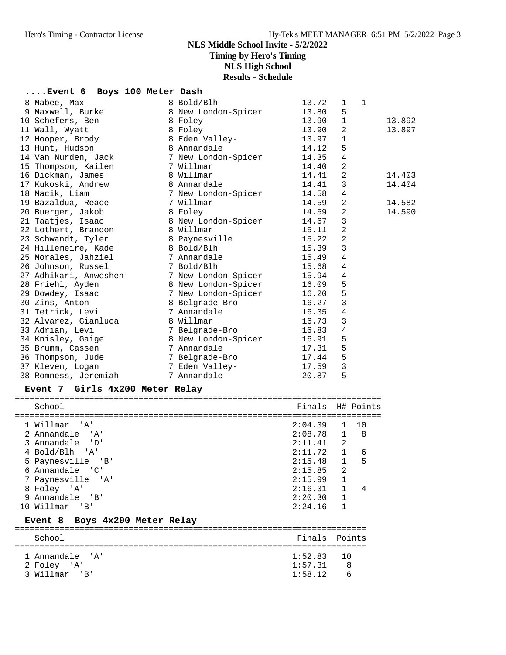**Timing by Hero's Timing**

**NLS High School**

**Results - Schedule**

## **....Event 6 Boys 100 Meter Dash**

| 8 Mabee, Max                                                 | 8 Bold/Blh                | 13.72 | 1              | $\mathbf{1}$ |        |
|--------------------------------------------------------------|---------------------------|-------|----------------|--------------|--------|
| 9 Maxwell, Burke                                             | 8 New London-Spicer       | 13.80 | 5              |              |        |
| 10 Schefers, Ben                                             | 8 Foley                   | 13.90 | $\mathbf{1}$   |              | 13.892 |
| 11 Wall, Wyatt                                               | 8 Foley                   | 13.90 | 2              |              | 13.897 |
| 12 Hooper, Brody                                             | 8 Eden Valley-            | 13.97 | $\mathbf{1}$   |              |        |
| 13 Hunt, Hudson                                              | 8 Annandale               | 14.12 | 5              |              |        |
| 14 Van Nurden, Jack                7 New London-Spicer       |                           | 14.35 | 4              |              |        |
| 15 Thompson, Kailen                                          | 7 Willmar                 | 14.40 | $\overline{a}$ |              |        |
| 16 Dickman, James                                            | 8 Willmar                 | 14.41 | $\overline{2}$ |              | 14.403 |
| 17 Kukoski, Andrew                                           | 8 Annandale               | 14.41 | 3              |              | 14.404 |
| 18 Macik, Liam                                               | 7 New London-Spicer       | 14.58 | $\bf 4$        |              |        |
| 19 Bazaldua, Reace                                           | 7 Willmar                 | 14.59 | 2              |              | 14.582 |
| 20 Buerger, Jakob                                            | 8 Foley                   | 14.59 | $\overline{a}$ |              | 14.590 |
| 21 Taatjes, Isaac                                            | 8 New London-Spicer       | 14.67 | 3              |              |        |
| 22 Lothert, Brandon                                          | 8 Willmar                 | 15.11 | $\overline{a}$ |              |        |
| 23 Schwandt, Tyler 18 Paynesville                            |                           | 15.22 | $\overline{2}$ |              |        |
| 24 Hillemeire, Kade 6 8 Bold/Blh                             |                           | 15.39 | 3              |              |        |
| 25 Morales, Jahziel 32 7 Annandale                           |                           | 15.49 | $\overline{4}$ |              |        |
| 26 Johnson, Russel<br>7 Bold/Blh                             |                           | 15.68 | 4              |              |        |
| 27 Adhikari, Anweshen 7 New London-Spicer                    |                           | 15.94 | 4              |              |        |
| 28 Friehl, Ayden                                             | 8 New London-Spicer       | 16.09 | 5              |              |        |
| 29 Dowdey, Isaac                                             | 7 New London-Spicer 16.20 |       | 5              |              |        |
| 30 Zins, Anton                                               | 8 Belgrade-Bro            | 16.27 | 3              |              |        |
| 31 Tetrick, Levi                                             | 7 Annandale               | 16.35 | $\overline{4}$ |              |        |
| 32 Alvarez, Gianluca                                         | 8 Willmar                 | 16.73 | 3              |              |        |
| 33 Adrian, Levi                                              | 7 Belgrade-Bro            | 16.83 | $\overline{4}$ |              |        |
| 34 Knisley, Gaige                                            | 8 New London-Spicer       | 16.91 | 5              |              |        |
| 35 Brumm, Cassen                                             | 7 Annandale               | 17.31 | 5              |              |        |
| 36 Thompson, Jude                             7 Belgrade-Bro |                           | 17.44 | 5              |              |        |
| 37 Kleven, Logan                                             | 7 Eden Valley-            | 17.59 | 3              |              |        |
| 38 Romness, Jeremiah                                         | 7 Annandale               | 20.87 | 5              |              |        |
|                                                              |                           |       |                |              |        |

#### **Event 7 Girls 4x200 Meter Relay**

| School                                   |             | Finals H# Points               |
|------------------------------------------|-------------|--------------------------------|
| 1 Willmar 'A'                            | $2:04.39$ 1 | 10                             |
| 2 Annandale 'A'                          | $2:08.78$ 1 | 8                              |
| 3 Annandale 'D'                          | $2:11.41$ 2 |                                |
| 4 Bold/Blh 'A'                           | 2:11.72 1   | 6                              |
| 5 Paynesville 'B'                        | 2:15.48     | $\mathbf{1}$<br>5              |
| Annandale 'C'<br>6                       | 2:15.85     | $\mathfrak{D}$                 |
| 7 Paynesville 'A'                        | 2:15.99     | $\mathbf{1}$                   |
| 8 Foley 'A'                              | 2:16.31     | $\mathbf{1}$<br>$\overline{4}$ |
| Annandale 'B'<br>9                       | 2:20.30 1   |                                |
| 10 Willmar 'B'                           | 2:24.16     | $\mathbf{1}$                   |
| Event 8 Boys 4x200 Meter Relay           |             |                                |
| School                                   | Finals      | Points                         |
| 1 Annandale<br>$^{\prime}$ A $^{\prime}$ | 1:52.83     | 10                             |
| 2 Foley 'A'                              | 1:57.31     | 8                              |
|                                          |             |                                |

3 Willmar 'B' 1:58.12 6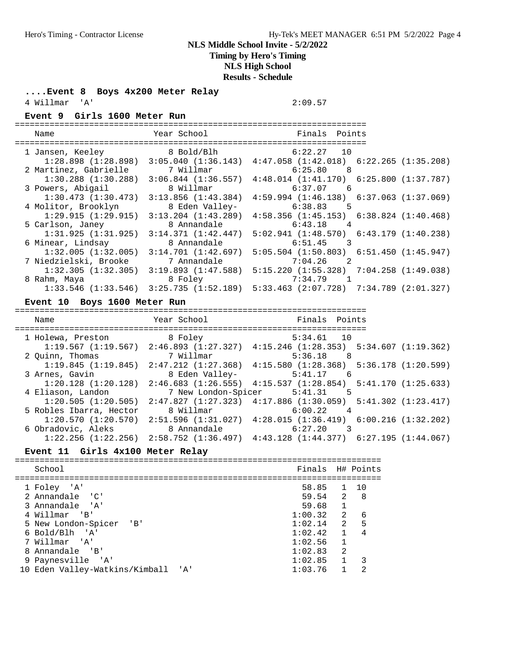**Timing by Hero's Timing**

#### **NLS High School**

**Results - Schedule**

**....Event 8 Boys 4x200 Meter Relay**

4 Willmar 'A' 2:09.57

**Event 9 Girls 1600 Meter Run**

### ======================================================================= Name Year School Finals Points

| wallle                                          | TCAT POITOOT            | rinais ruints                                                                                   |
|-------------------------------------------------|-------------------------|-------------------------------------------------------------------------------------------------|
| 1 Jansen, Keeley                                | 8 Bold/Blh              | 6:22.27 10                                                                                      |
| $1:28.898$ $(1:28.898)$                         |                         | $3:05.040$ (1:36.143) $4:47.058$ (1:42.018) 6:22.265 (1:35.208)                                 |
| 2 Martinez, Gabrielle                           | 7 Willmar               | $6:25.80$ 8                                                                                     |
| $1:30.288$ $(1:30.288)$                         | $3:06.844$ (1:36.557)   | $4:48.014$ $(1:41.170)$ $6:25.800$ $(1:37.787)$                                                 |
| 3 Powers, Abigail                               | 8 Willmar               | 6:37.07 6                                                                                       |
| 1:30.473(1:30.473)                              | 3:13.856(1:43.384)      | $4:59.994$ $(1:46.138)$ $6:37.063$ $(1:37.069)$                                                 |
| 4 Molitor, Brooklyn                             | 8 Eden Valley-          | $6:38.83$ 5                                                                                     |
| 1:29.915(1:29.915)                              | $3:13.204$ $(1:43.289)$ | $4:58.356$ $(1:45.153)$ $6:38.824$ $(1:40.468)$                                                 |
| 5 Carlson, Janey                                | 8 Annandale             | $6:43.18$ 4                                                                                     |
| 1:31.925(1:31.925)                              | 3:14.371(1:42.447)      | $5:02.941$ $(1:48.570)$ $6:43.179$ $(1:40.238)$                                                 |
| 6 Minear, Lindsay                               | 8 Annandale             | $6:51.45$ 3                                                                                     |
| 1:32.005(1:32.005)                              | 3:14.701(1:42.697)      | $5:05.504$ $(1:50.803)$ $6:51.450$ $(1:45.947)$                                                 |
| 7 Niedzielski, Brooke                           | 7 Annandale             | $7:04.26$ 2                                                                                     |
| $1:32.305$ $(1:32.305)$ $3:19.893$ $(1:47.588)$ |                         | $5:15.220$ (1:55.328) 7:04.258 (1:49.038)                                                       |
| 8 Rahm, Maya                                    | 8 Foley                 | 7:34.79                                                                                         |
|                                                 |                         | $1:33.546$ $(1:33.546)$ $3:25.735$ $(1:52.189)$ $5:33.463$ $(2:07.728)$ $7:34.789$ $(2:01.327)$ |
|                                                 |                         |                                                                                                 |

#### **Event 10 Boys 1600 Meter Run**

======================================================================= Name Year School Finals Points ======================================================================= 1 Holewa, Preston 8 Foley 5:34.61 10 1:19.567 (1:19.567) 2:46.893 (1:27.327) 4:15.246 (1:28.353) 5:34.607 (1:19.362) 2 Quinn, Thomas 7 Willmar 5:36.18 8 1:19.845 (1:19.845) 2:47.212 (1:27.368) 4:15.580 (1:28.368) 5:36.178 (1:20.599) 3 Arnes, Gavin 8 Eden Valley- 5:41.17 6 1:20.128 (1:20.128) 2:46.683 (1:26.555) 4:15.537 (1:28.854) 5:41.170 (1:25.633) 4 Eliason, Landon 7 New London-Spicer 5:41.31 5 1:20.505 (1:20.505) 2:47.827 (1:27.323) 4:17.886 (1:30.059) 5:41.302 (1:23.417) 5 Robles Ibarra, Hector 8 Willmar 6:00.22 4 1:20.570 (1:20.570) 2:51.596 (1:31.027) 4:28.015 (1:36.419) 6:00.216 (1:32.202) 6 Obradovic, Aleks 8 Annandale 6:27.20 3 1:22.256 (1:22.256) 2:58.752 (1:36.497) 4:43.128 (1:44.377) 6:27.195 (1:44.067)

#### **Event 11 Girls 4x100 Meter Relay**

| School                             | Finals H# Points |                |                          |
|------------------------------------|------------------|----------------|--------------------------|
| 1 Foley 'A'                        | 58.85 1 10       |                |                          |
| 2 Annandale 'C'                    | 59.54 2          |                | - 8                      |
| 3 Annandale 'A'                    | 59.68            | $\overline{1}$ |                          |
| 4 Willmar 'B'                      | 1:00.32 2        |                | - 6                      |
| 5 New London-Spicer 'B'            | $1:02.14$ 2      |                | $-5$                     |
| 6 Bold/Blh 'A'                     | $1:02.42$ 1      |                | $\overline{4}$           |
| 7 Willmar 'A'                      | 1:02.56          | $\mathbf{1}$   |                          |
| 8 Annandale 'B'                    | 1:02.83          | $\mathfrak{D}$ |                          |
| 9 Paynesville 'A'                  | $1:02.85$ 1      |                | $\overline{\phantom{a}}$ |
| 10 Eden Valley-Watkins/Kimball 'A' | 1:03.76          |                | 2                        |
|                                    |                  |                |                          |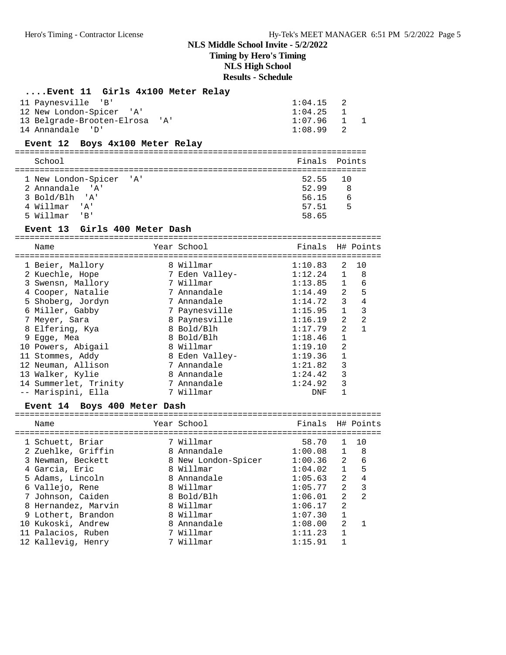**Timing by Hero's Timing**

## **NLS High School**

## **Results - Schedule**

## **....Event 11 Girls 4x100 Meter Relay**

| 11 Paynesville 'B'             | $1:04.15$ 2 |  |
|--------------------------------|-------------|--|
| 12 New London-Spicer 'A'       | $1:04.25$ 1 |  |
| 13 Belgrade-Brooten-Elrosa 'A' | 1:07.96 1   |  |
| 14 Annandale 'D'               | $1:08.99$ 2 |  |

#### **Event 12 Boys 4x100 Meter Relay**

| School                  |          | Finals Points |
|-------------------------|----------|---------------|
|                         |          |               |
| 1 New London-Spicer 'A' | 52.55 10 |               |
| 2. Annandale 'A'        | 52.99    | - 8           |
| 3 Bold/Blh 'A'          | 56.15    | 6             |
| 4 Willmar 'A'           | 57.51    | 5             |
| 5 Willmar 'B'           | 58.65    |               |

#### **Event 13 Girls 400 Meter Dash**

==========================================================================

| Name                  | Year School    | Finals H# Points |                |    |
|-----------------------|----------------|------------------|----------------|----|
| 1 Beier, Mallory      | 8 Willmar      | 1:10.83          | 2              | 10 |
| 2 Kuechle, Hope       | 7 Eden Valley- | 1:12.24          | $\mathbf{1}$   | 8  |
| 3 Swensn, Mallory     | 7 Willmar      | 1:13.85          | $\mathbf{1}$   | 6  |
| 4 Cooper, Natalie     | 7 Annandale    | 1:14.49          | 2              | 5  |
| 5 Shoberg, Jordyn     | 7 Annandale    | 1:14.72          | 3              | 4  |
| 6 Miller, Gabby       | 7 Paynesville  | 1:15.95          | $\mathbf{1}$   | 3  |
| 7 Meyer, Sara         | 8 Paynesville  | 1:16.19          | 2              | 2  |
| 8 Elfering, Kya       | 8 Bold/Blh     | 1:17.79          | 2              |    |
| 9 Eqqe, Mea           | 8 Bold/Blh     | 1:18.46          | $\mathbf 1$    |    |
| 10 Powers, Abigail    | 8 Willmar      | 1:19.10          | $\mathfrak{D}$ |    |
| 11 Stommes, Addy      | 8 Eden Valley- | 1:19.36          |                |    |
| 12 Neuman, Allison    | 7 Annandale    | 1:21.82          | 3              |    |
| 13 Walker, Kylie      | 8 Annandale    | 1:24.42          | 3              |    |
| 14 Summerlet, Trinity | 7 Annandale    | 1:24.92          | 3              |    |
| -- Marispini, Ella    | 7 Willmar      | DNF              |                |    |

### **Event 14 Boys 400 Meter Dash**

| Name                | Year School         | Finals H# Points |                |                |
|---------------------|---------------------|------------------|----------------|----------------|
| 1 Schuett, Briar    | 7 Willmar           | 58.70            | $\mathbf{1}$   | 10             |
| 2 Zuehlke, Griffin  | 8 Annandale         | 1:00.08          | $\mathbf{1}$   | - 8            |
| 3 Newman, Beckett   | 8 New London-Spicer | 1:00.36          | $\overline{a}$ | - 6            |
| 4 Garcia, Eric      | 8 Willmar           | 1:04.02          | $\mathbf{1}$   | 5              |
| 5 Adams, Lincoln    | 8 Annandale         | 1:05.63          | $2^{1}$        | 4              |
| 6 Vallejo, Rene     | 8 Willmar           | 1:05.77          | $\mathcal{L}$  | 3              |
| 7 Johnson, Caiden   | 8 Bold/Blh          | 1:06.01          | $\mathfrak{D}$ | $\mathfrak{D}$ |
| 8 Hernandez, Marvin | 8 Willmar           | 1:06.17          | $\mathfrak{D}$ |                |
| 9 Lothert, Brandon  | 8 Willmar           | 1:07.30          |                |                |
| 10 Kukoski, Andrew  | 8 Annandale         | 1:08.00          | $\mathfrak{D}$ | $\mathbf{1}$   |
| 11 Palacios, Ruben  | 7 Willmar           | 1:11.23          |                |                |
| 12 Kallevig, Henry  | 7 Willmar           | 1:15.91          |                |                |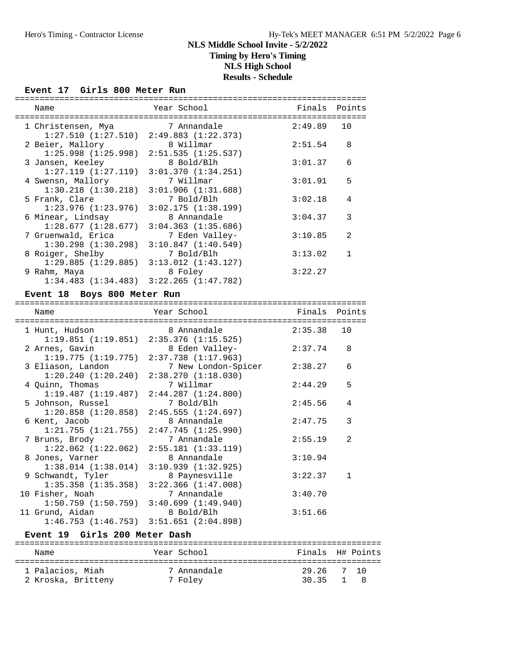## **NLS Middle School Invite - 5/2/2022 Timing by Hero's Timing NLS High School**

## **Results - Schedule**

#### **Event 17 Girls 800 Meter Run**

| Name                                                                | Year School                           | Finals  | Points         |
|---------------------------------------------------------------------|---------------------------------------|---------|----------------|
| 1 Christensen, Mya                                                  | 7 Annandale                           | 2:49.89 | 10             |
| $1:27.510$ $(1:27.510)$ $2:49.883$ $(1:22.373)$<br>2 Beier, Mallory | 8 Willmar                             | 2:51.54 | 8              |
| $1:25.998$ $(1:25.998)$                                             | 2:51.535(1:25.537)                    |         |                |
| 3 Jansen, Keeley                                                    | 8 Bold/Blh                            | 3:01.37 | 6              |
| 1:27.119(1:27.119)                                                  | 3:01.370(1:34.251)                    |         |                |
| 4 Swensn, Mallory                                                   | 7 Willmar                             | 3:01.91 | 5              |
| $1:30.218$ $(1:30.218)$<br>5 Frank, Clare                           | 3:01.906(1:31.688)<br>7 Bold/Blh      | 3:02.18 | 4              |
| $1:23.976$ $(1:23.976)$                                             | 3:02.175(1:38.199)                    |         |                |
| 6 Minear, Lindsay                                                   | 8 Annandale                           | 3:04.37 | 3              |
| 1:28.677(1:28.677)                                                  | 3:04.363(1:35.686)                    |         |                |
| 7 Gruenwald, Erica                                                  | 7 Eden Valley-                        | 3:10.85 | $\mathfrak{D}$ |
| $1:30.298$ $(1:30.298)$                                             | 3:10.847(1:40.549)                    |         |                |
| 8 Roiger, Shelby<br>1:29.885(1:29.885)                              | 7 Bold/Blh<br>$3:13.012$ $(1:43.127)$ | 3:13.02 |                |
| 9 Rahm, Maya                                                        | 8 Foley                               | 3:22.27 |                |
| $1:34.483$ $(1:34.483)$                                             | 3:22.265(1:47.782)                    |         |                |
|                                                                     |                                       |         |                |

## **Event 18 Boys 800 Meter Run**

| Name                                                                 | Year School                                                       |            | Finals Points  |
|----------------------------------------------------------------------|-------------------------------------------------------------------|------------|----------------|
| 1 Hunt, Hudson                                                       | 8 Annandale<br>$1:19.851$ $(1:19.851)$ $2:35.376$ $(1:15.525)$    | 2:35.38 10 |                |
| 2 Arnes, Gavin                                                       | 8 Eden Valley-<br>$1:19.775$ $(1:19.775)$ $2:37.738$ $(1:17.963)$ | 2:37.74    | 8              |
| 3 Eliason, Landon<br>$1:20.240$ $(1:20.240)$ $2:38.270$ $(1:18.030)$ | 7 New London-Spicer                                               | 2:38.27    | 6              |
| 4 Quinn, Thomas                                                      | 7 Willmar<br>$1:19.487$ $(1:19.487)$ $2:44.287$ $(1:24.800)$      | 2:44.29    | 5              |
| 5 Johnson, Russel                                                    | 7 Bold/Blh<br>$1:20.858$ $(1:20.858)$ $2:45.555$ $(1:24.697)$     | 2:45.56    | 4              |
| 6 Kent, Jacob<br>1:21.755(1:21.755)                                  | 8 Annandale<br>2:47.745(1:25.990)                                 | 2:47.75    | 3              |
| 7 Bruns, Brody<br>$1:22.062$ $(1:22.062)$                            | 7 Annandale<br>2:55.181(1:33.119)                                 | 2:55.19    | $\mathfrak{D}$ |
| 8 Jones, Varner<br>$1:38.014$ $(1:38.014)$                           | 8 Annandale<br>3:10.939(1:32.925)                                 | 3:10.94    |                |
| 9 Schwandt, Tyler<br>$1:35.358$ $(1:35.358)$                         | 8 Paynesville<br>3:22.366(1:47.008)                               | 3:22.37    | $\mathbf{1}$   |
| 10 Fisher, Noah<br>$1:50.759$ $(1:50.759)$                           | 7 Annandale<br>3:40.699(1:49.940)                                 | 3:40.70    |                |
| 11 Grund, Aidan<br>1:46.753(1:46.753)                                | 8 Bold/Blh<br>3:51.651 (2:04.898)                                 | 3:51.66    |                |

#### **Event 19 Girls 200 Meter Dash**

| Name               | Year School | Finals H# Points |  |
|--------------------|-------------|------------------|--|
| 1 Palacios, Miah   | 7 Annandale | 29.26 7 10       |  |
| 2 Kroska, Britteny | 7 Folev     | 30.35 1 8        |  |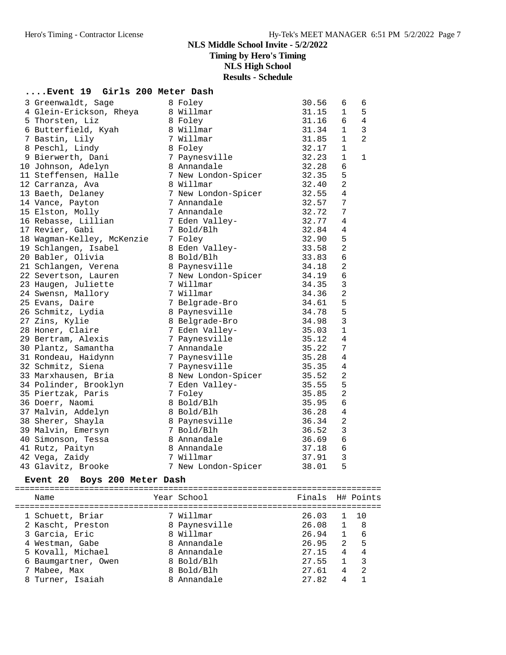## **NLS Middle School Invite - 5/2/2022 Timing by Hero's Timing**

**NLS High School**

**Results - Schedule**

#### **....Event 19 Girls 200 Meter Dash**

|  | 3 Greenwaldt, Sage         | 8 Foley             | 30.56 | 6              | 6              |
|--|----------------------------|---------------------|-------|----------------|----------------|
|  | 4 Glein-Erickson, Rheya    | 8 Willmar           | 31.15 | $\mathbf 1$    | 5              |
|  | 5 Thorsten, Liz            | 8 Foley             | 31.16 | 6              | $\overline{4}$ |
|  | 6 Butterfield, Kyah        | 8 Willmar           | 31.34 | $\mathbf 1$    | 3              |
|  | 7 Bastin, Lily             | 7 Willmar           | 31.85 | $\mathbf{1}$   | $\overline{2}$ |
|  | 8 Peschl, Lindy            | 8 Foley             | 32.17 | $\mathbf{1}$   |                |
|  | 9 Bierwerth, Dani          | 7 Paynesville       | 32.23 | 1              | $\mathbf{1}$   |
|  | 10 Johnson, Adelyn         | 8 Annandale         | 32.28 | 6              |                |
|  | 11 Steffensen, Halle       | 7 New London-Spicer | 32.35 | 5              |                |
|  | 12 Carranza, Ava           | 8 Willmar           | 32.40 | $\overline{2}$ |                |
|  | 13 Baeth, Delaney          | 7 New London-Spicer | 32.55 | $\overline{4}$ |                |
|  | 14 Vance, Payton           | 7 Annandale         | 32.57 | 7              |                |
|  | 15 Elston, Molly           | 7 Annandale         | 32.72 | 7              |                |
|  | 16 Rebasse, Lillian        | 7 Eden Valley-      | 32.77 | 4              |                |
|  | 17 Revier, Gabi            | 7 Bold/Blh          | 32.84 | 4              |                |
|  | 18 Wagman-Kelley, McKenzie | 7 Foley             | 32.90 | 5              |                |
|  | 19 Schlangen, Isabel       | 8 Eden Valley-      | 33.58 | $\overline{2}$ |                |
|  | 20 Babler, Olivia          | 8 Bold/Blh          | 33.83 | 6              |                |
|  | 21 Schlangen, Verena       | 8 Paynesville       | 34.18 | 2              |                |
|  | 22 Severtson, Lauren       | 7 New London-Spicer | 34.19 | 6              |                |
|  | 23 Haugen, Juliette        | 7 Willmar           | 34.35 | 3              |                |
|  | 24 Swensn, Mallory         | 7 Willmar           | 34.36 | $\overline{2}$ |                |
|  | 25 Evans, Daire            | 7 Belgrade-Bro      | 34.61 | 5              |                |
|  | 26 Schmitz, Lydia          | 8 Paynesville       | 34.78 | 5              |                |
|  | 27 Zins, Kylie             | 8 Belgrade-Bro      | 34.98 | 3              |                |
|  | 28 Honer, Claire           | 7 Eden Valley-      | 35.03 | $\mathbf 1$    |                |
|  | 29 Bertram, Alexis         | 7 Paynesville       | 35.12 | 4              |                |
|  | 30 Plantz, Samantha        | 7 Annandale         | 35.22 | 7              |                |
|  | 31 Rondeau, Haidynn        | 7 Paynesville       | 35.28 | $\overline{4}$ |                |
|  | 32 Schmitz, Siena          | 7 Paynesville       | 35.35 | 4              |                |
|  | 33 Marxhausen, Bria        | 8 New London-Spicer | 35.52 | 2              |                |
|  | 34 Polinder, Brooklyn      | 7 Eden Valley-      | 35.55 | 5              |                |
|  | 35 Piertzak, Paris         | 7 Foley             | 35.85 | 2              |                |
|  | 36 Doerr, Naomi            | 8 Bold/Blh          | 35.95 | 6              |                |
|  | 37 Malvin, Addelyn         | 8 Bold/Blh          | 36.28 | $\overline{4}$ |                |
|  | 38 Sherer, Shayla          | 8 Paynesville       | 36.34 | $\overline{a}$ |                |
|  | 39 Malvin, Emersyn         | 7 Bold/Blh          | 36.52 | 3              |                |
|  | 40 Simonson, Tessa         | 8 Annandale         | 36.69 | 6              |                |
|  | 41 Rutz, Paityn            | 8 Annandale         | 37.18 | 6              |                |
|  | 42 Vega, Zaidy             | 7 Willmar           | 37.91 | 3              |                |
|  | 43 Glavitz, Brooke         | 7 New London-Spicer | 38.01 | 5              |                |
|  |                            |                     |       |                |                |

#### **Event 20 Boys 200 Meter Dash**

========================================================================== Name The Year School The Pinals H# Points ========================================================================== 1 Schuett, Briar 7 Willmar 26.03 1 10 2 Kascht, Preston 8 Paynesville 26.08 1 8 3 Garcia, Eric 8 Willmar 26.94 1 6 4 Westman, Gabe 8 Annandale 26.95 2 5 5 Kovall, Michael 8 Annandale 27.15 4 4 6 Baumgartner, Owen 8 Bold/Blh 27.55 1 3 7 Mabee, Max 8 Bold/Blh 27.61 4 2 8 Turner, Isaiah 8 Annandale 27.82 4 1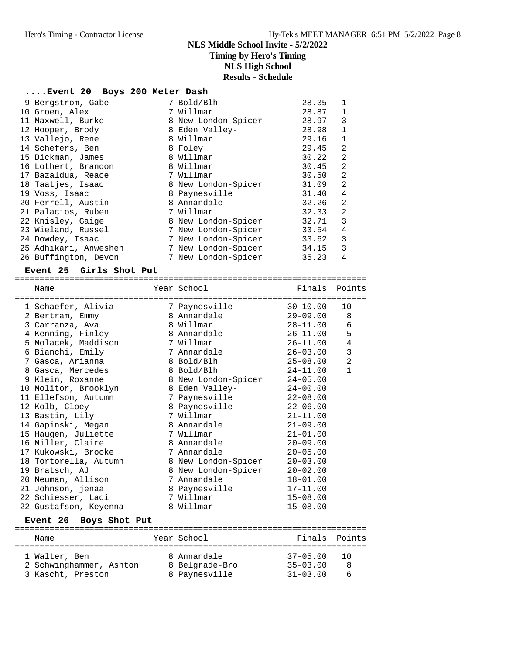## **....Event 20 Boys 200 Meter Dash**

| 9 Bergstrom, Gabe     | 7 Bold/Blh          | 28.35 | $\mathbf{1}$   |
|-----------------------|---------------------|-------|----------------|
| 10 Groen, Alex        | 7 Willmar           | 28.87 | $\mathbf{1}$   |
| 11 Maxwell, Burke     | 8 New London-Spicer | 28.97 | 3              |
| 12 Hooper, Brody      | 8 Eden Valley-      | 28.98 | $\mathbf{1}$   |
| 13 Vallejo, Rene      | 8 Willmar           | 29.16 | $\mathbf{1}$   |
| 14 Schefers, Ben      | 8 Foley             | 29.45 | 2              |
| 15 Dickman, James     | 8 Willmar           | 30.22 | 2              |
| 16 Lothert, Brandon   | 8 Willmar           | 30.45 | 2              |
| 17 Bazaldua, Reace    | 7 Willmar           | 30.50 | 2              |
| 18 Taatjes, Isaac     | 8 New London-Spicer | 31.09 | 2              |
| 19 Voss, Isaac        | 8 Paynesville       | 31.40 | $\overline{4}$ |
| 20 Ferrell, Austin    | 8 Annandale         | 32.26 | 2              |
| 21 Palacios, Ruben    | 7 Willmar           | 32.33 | $\overline{2}$ |
| 22 Knisley, Gaige     | 8 New London-Spicer | 32.71 | 3              |
| 23 Wieland, Russel    | 7 New London-Spicer | 33.54 | 4              |
| 24 Dowdey, Isaac      | 7 New London-Spicer | 33.62 | 3              |
| 25 Adhikari, Anweshen | 7 New London-Spicer | 34.15 | 3              |
| 26 Buffington, Devon  | 7 New London-Spicer | 35.23 | 4              |

#### **Event 25 Girls Shot Put**

| =============         | ====================================== |               |                |
|-----------------------|----------------------------------------|---------------|----------------|
| Name                  | Year School                            | Finals Points |                |
| 1 Schaefer, Alivia    | 7 Paynesville                          | $30 - 10.00$  | 10             |
| 2 Bertram, Emmy       | 8 Annandale                            | 29-09.00      | 8              |
| 3 Carranza, Ava       | 8 Willmar                              | 28-11.00      | $\epsilon$     |
| 4 Kenning, Finley     | 8 Annandale                            | 26-11.00      | 5              |
| 5 Molacek, Maddison   | 7 Willmar                              | 26-11.00      | $\sqrt{4}$     |
| 6 Bianchi, Emily      | 7 Annandale                            | 26-03.00      | 3              |
| 7 Gasca, Arianna      | 8 Bold/Blh                             | $25 - 08.00$  | $\overline{2}$ |
| 8 Gasca, Mercedes     | 8 Bold/Blh                             | 24-11.00      | $\mathbf{1}$   |
| 9 Klein, Roxanne      | 8 New London-Spicer                    | $24 - 05.00$  |                |
| 10 Molitor, Brooklyn  | 8 Eden Valley-                         | $24 - 00.00$  |                |
| 11 Ellefson, Autumn   | 7 Paynesville                          | $22 - 08.00$  |                |
| 12 Kolb, Cloey        | 8 Paynesville                          | $22 - 06.00$  |                |
| 13 Bastin, Lily       | 7 Willmar                              | $21 - 11.00$  |                |
| 14 Gapinski, Megan    | 8 Annandale                            | $21 - 09.00$  |                |
| 15 Haugen, Juliette   | 7 Willmar                              | $21 - 01.00$  |                |
| 16 Miller, Claire     | 8 Annandale                            | $20 - 09.00$  |                |
| 17 Kukowski, Brooke   | 7 Annandale                            | $20 - 05.00$  |                |
| 18 Tortorella, Autumn | 8 New London-Spicer                    | $20 - 03.00$  |                |
| 19 Bratsch, AJ        | 8 New London-Spicer                    | $20 - 02.00$  |                |
| 20 Neuman, Allison    | 7 Annandale                            | $18 - 01.00$  |                |
| 21 Johnson, jenaa     | 8 Paynesville                          | $17 - 11.00$  |                |
| 22 Schiesser, Laci    | 7 Willmar                              | $15 - 08.00$  |                |
| 22 Gustafson, Keyenna | 8 Willmar                              | $15 - 08.00$  |                |

#### **Event 26 Boys Shot Put**

| Name                    | Year School    | Finals Points         |
|-------------------------|----------------|-----------------------|
|                         |                |                       |
| 1 Walter, Ben           | 8 Annandale    | $37 - 05.00$<br>- 1 O |
| 2 Schwinghammer, Ashton | 8 Belgrade-Bro | $35 - 03.00$<br>-8    |
| 3 Kascht, Preston       | 8 Paynesville  | $31 - 03.00$          |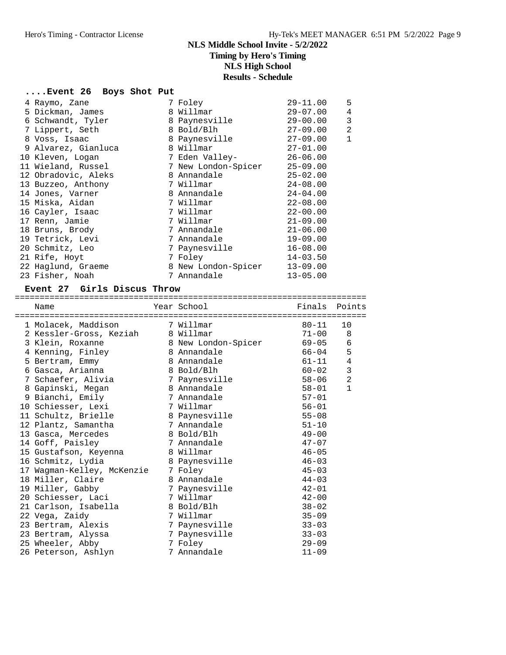### **....Event 26 Boys Shot Put**

|                                                                                                                                                                                                                                                                                                                                                                                                           | $29 - 11.00$                                                                                                                                                                                                                                                                                                 | 5            |
|-----------------------------------------------------------------------------------------------------------------------------------------------------------------------------------------------------------------------------------------------------------------------------------------------------------------------------------------------------------------------------------------------------------|--------------------------------------------------------------------------------------------------------------------------------------------------------------------------------------------------------------------------------------------------------------------------------------------------------------|--------------|
|                                                                                                                                                                                                                                                                                                                                                                                                           | $29 - 07.00$                                                                                                                                                                                                                                                                                                 | 4            |
|                                                                                                                                                                                                                                                                                                                                                                                                           | $29 - 00.00$                                                                                                                                                                                                                                                                                                 | 3            |
|                                                                                                                                                                                                                                                                                                                                                                                                           | $27 - 09.00$                                                                                                                                                                                                                                                                                                 | 2            |
|                                                                                                                                                                                                                                                                                                                                                                                                           | $27-09.00$                                                                                                                                                                                                                                                                                                   | $\mathbf{1}$ |
|                                                                                                                                                                                                                                                                                                                                                                                                           | $27 - 01.00$                                                                                                                                                                                                                                                                                                 |              |
|                                                                                                                                                                                                                                                                                                                                                                                                           | $26 - 06.00$                                                                                                                                                                                                                                                                                                 |              |
|                                                                                                                                                                                                                                                                                                                                                                                                           | $25 - 09.00$                                                                                                                                                                                                                                                                                                 |              |
|                                                                                                                                                                                                                                                                                                                                                                                                           | $25 - 02.00$                                                                                                                                                                                                                                                                                                 |              |
|                                                                                                                                                                                                                                                                                                                                                                                                           | $24 - 08.00$                                                                                                                                                                                                                                                                                                 |              |
|                                                                                                                                                                                                                                                                                                                                                                                                           | $24 - 04.00$                                                                                                                                                                                                                                                                                                 |              |
|                                                                                                                                                                                                                                                                                                                                                                                                           | $22 - 08.00$                                                                                                                                                                                                                                                                                                 |              |
|                                                                                                                                                                                                                                                                                                                                                                                                           | $22 - 00.00$                                                                                                                                                                                                                                                                                                 |              |
|                                                                                                                                                                                                                                                                                                                                                                                                           | $21 - 09.00$                                                                                                                                                                                                                                                                                                 |              |
|                                                                                                                                                                                                                                                                                                                                                                                                           | $21 - 06.00$                                                                                                                                                                                                                                                                                                 |              |
|                                                                                                                                                                                                                                                                                                                                                                                                           | $19 - 09.00$                                                                                                                                                                                                                                                                                                 |              |
|                                                                                                                                                                                                                                                                                                                                                                                                           | $16 - 08.00$                                                                                                                                                                                                                                                                                                 |              |
|                                                                                                                                                                                                                                                                                                                                                                                                           | $14 - 03.50$                                                                                                                                                                                                                                                                                                 |              |
|                                                                                                                                                                                                                                                                                                                                                                                                           | $13 - 09.00$                                                                                                                                                                                                                                                                                                 |              |
|                                                                                                                                                                                                                                                                                                                                                                                                           | $13 - 05.00$                                                                                                                                                                                                                                                                                                 |              |
| 4 Raymo, Zane<br>5 Dickman, James<br>6 Schwandt, Tyler<br>7 Lippert, Seth<br>8 Voss, Isaac<br>9 Alvarez, Gianluca<br>10 Kleven, Logan<br>11 Wieland, Russel<br>12 Obradovic, Aleks<br>13 Buzzeo, Anthony<br>14 Jones, Varner<br>15 Miska, Aidan<br>16 Cayler, Isaac<br>17 Renn, Jamie<br>18 Bruns, Brody<br>19 Tetrick, Levi<br>20 Schmitz, Leo<br>21 Rife, Hoyt<br>22 Haglund, Graeme<br>23 Fisher, Noah | 7 Foley<br>8 Willmar<br>8 Paynesville<br>8 Bold/Blh<br>8 Paynesville<br>8 Willmar<br>7 Eden Valley-<br>7 New London-Spicer<br>8 Annandale<br>7 Willmar<br>8 Annandale<br>7 Willmar<br>7 Willmar<br>7 Willmar<br>7 Annandale<br>7 Annandale<br>7 Paynesville<br>7 Foley<br>8 New London-Spicer<br>7 Annandale |              |

#### **Event 27 Girls Discus Throw**

=======================================================================

| Name                       | Year School         | Finals    | Points         |
|----------------------------|---------------------|-----------|----------------|
| 1 Molacek, Maddison        | 7 Willmar           | $80 - 11$ | 10             |
| 2 Kessler-Gross, Keziah    | 8 Willmar           | $71 - 00$ | 8              |
| 3 Klein, Roxanne           | 8 New London-Spicer | 69-05     | 6              |
| 4 Kenning, Finley          | 8 Annandale         | 66-04     | 5              |
| 5 Bertram, Emmy            | 8 Annandale         | 61-11     | $\sqrt{4}$     |
| 6 Gasca, Arianna           | 8 Bold/Blh          | $60 - 02$ | $\mathbf{3}$   |
| 7 Schaefer, Alivia         | 7 Paynesville       | $58 - 06$ | $\overline{a}$ |
| 8 Gapinski, Megan          | 8 Annandale         | 58-01     | $\mathbf{1}$   |
| 9 Bianchi, Emily           | 7 Annandale         | $57 - 01$ |                |
| 10 Schiesser, Lexi         | 7 Willmar           | $56 - 01$ |                |
| 11 Schultz, Brielle        | 8 Paynesville       | $55 - 08$ |                |
| 12 Plantz, Samantha        | 7 Annandale         | $51 - 10$ |                |
| 13 Gasca, Mercedes         | 8 Bold/Blh          | $49 - 00$ |                |
| 14 Goff, Paisley           | 7 Annandale         | $47 - 07$ |                |
| 15 Gustafson, Keyenna      | 8 Willmar           | $46 - 05$ |                |
| 16 Schmitz, Lydia          | 8 Paynesville       | $46 - 03$ |                |
| 17 Wagman-Kelley, McKenzie | 7 Foley             | $45 - 03$ |                |
| 18 Miller, Claire          | 8 Annandale         | $44 - 03$ |                |
| 19 Miller, Gabby           | 7 Paynesville       | $42 - 01$ |                |
| 20 Schiesser, Laci         | 7 Willmar           | $42 - 00$ |                |
| 21 Carlson, Isabella       | 8 Bold/Blh          | $38 - 02$ |                |
| 22 Vega, Zaidy             | 7 Willmar           | $35 - 09$ |                |
| 23 Bertram, Alexis         | 7 Paynesville       | $33 - 03$ |                |
| 23 Bertram, Alyssa         | 7 Paynesville       | $33 - 03$ |                |
| 25 Wheeler, Abby           | 7 Foley             | $29 - 09$ |                |
| 26 Peterson, Ashlyn        | 7 Annandale         | $11 - 09$ |                |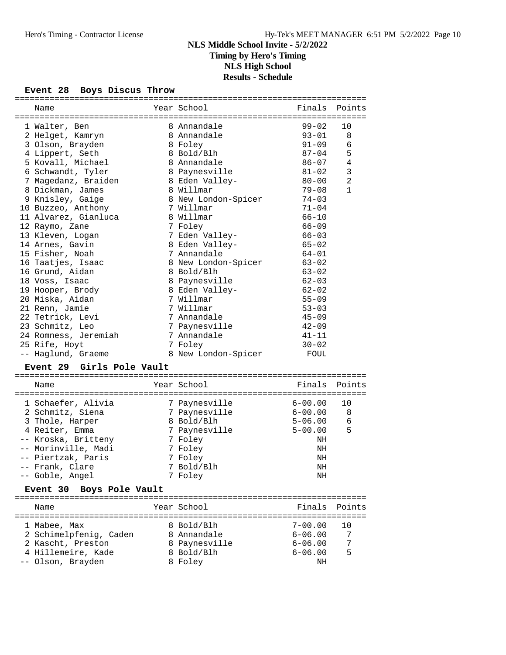### **Event 28 Boys Discus Throw**

| Name                        | Year School         | Finals      | Points         |
|-----------------------------|---------------------|-------------|----------------|
|                             |                     |             |                |
| 1 Walter, Ben               | 8 Annandale         | $99 - 02$   | 10             |
| 2 Helget, Kamryn            | 8 Annandale         | $93 - 01$   | 8              |
| 3 Olson, Brayden            | 8 Foley             | $91 - 09$   | 6              |
| 4 Lippert, Seth             | 8 Bold/Blh          | $87 - 04$   | 5              |
| 5 Kovall, Michael           | 8 Annandale         | 86-07       | 4              |
| 6 Schwandt, Tyler           | 8 Paynesville       | $81 - 02$   | 3              |
| 7 Magedanz, Braiden         | 8 Eden Valley-      | $80 - 00$   | $\overline{a}$ |
| 8 Dickman, James            | 8 Willmar           | $79 - 08$   | $\mathbf{1}$   |
| 9 Knisley, Gaige            | 8 New London-Spicer | $74 - 03$   |                |
| 10 Buzzeo, Anthony          | 7 Willmar           | $71 - 04$   |                |
| 11 Alvarez, Gianluca        | 8 Willmar           | $66 - 10$   |                |
| 12 Raymo, Zane              | 7 Foley             | $66 - 09$   |                |
| 13 Kleven, Logan            | 7 Eden Valley-      | $66 - 03$   |                |
| 14 Arnes, Gavin             | 8 Eden Valley-      | $65 - 02$   |                |
| 15 Fisher, Noah             | 7 Annandale         | $64 - 01$   |                |
| 16 Taatjes, Isaac           | 8 New London-Spicer | $63 - 02$   |                |
| 16 Grund, Aidan             | 8 Bold/Blh          | $63 - 02$   |                |
| 18 Voss, Isaac              | 8 Paynesville       | $62 - 03$   |                |
| 19 Hooper, Brody            | 8 Eden Valley-      | $62 - 02$   |                |
| 20 Miska, Aidan             | 7 Willmar           | $55 - 09$   |                |
| 21 Renn, Jamie              | 7 Willmar           | $53 - 03$   |                |
| 22 Tetrick, Levi            | 7 Annandale         | $45 - 09$   |                |
| 23 Schmitz, Leo             | 7 Paynesville       | $42 - 09$   |                |
| 24 Romness, Jeremiah        | 7 Annandale         | $41 - 11$   |                |
|                             | 7 Foley             | $30 - 02$   |                |
| 25 Rife, Hoyt               | 8 New London-Spicer | FOUL        |                |
| -- Haglund, Graeme          |                     |             |                |
| Event 29 Girls Pole Vault   |                     |             |                |
| Name                        | Year School         | Finals      | Points         |
|                             |                     |             |                |
| 1 Schaefer, Alivia          | 7 Paynesville       | 6-00.00     | 10             |
| 2 Schmitz, Siena            | 7 Paynesville       | 6-00.00     | 8              |
| 3 Thole, Harper             | 8 Bold/Blh          | $5 - 06.00$ | 6              |
| 4 Reiter, Emma              | 7 Paynesville       | $5 - 00.00$ | 5              |
| -- Kroska, Britteny         | 7 Foley             | NH          |                |
| -- Morinville, Madi         | 7 Foley             | ΝH          |                |
| -- Piertzak, Paris          | 7 Foley             | ΝH          |                |
| - Frank, Clare              | 7 Bold/Blh          | $\rm{NH}$   |                |
| -- Goble, Angel             | 7 Foley             | NH          |                |
|                             |                     |             |                |
| Event 30<br>Boys Pole Vault |                     |             |                |
| Name                        | Year School         | Finals      | Points         |
| 1 Mabee, Max                | 8 Bold/Blh          | $7 - 00.00$ | 10             |
| 2 Schimelpfenig, Caden      | 8 Annandale         | $6 - 06.00$ | 7              |
| 2 Kascht, Preston           | 8 Paynesville       | $6 - 06.00$ | 7              |
| 4 Hillemeire, Kade          | 8 Bold/Blh          | $6 - 06.00$ | 5              |
| -- Olson, Brayden           | 8 Foley             | ΝH          |                |
|                             |                     |             |                |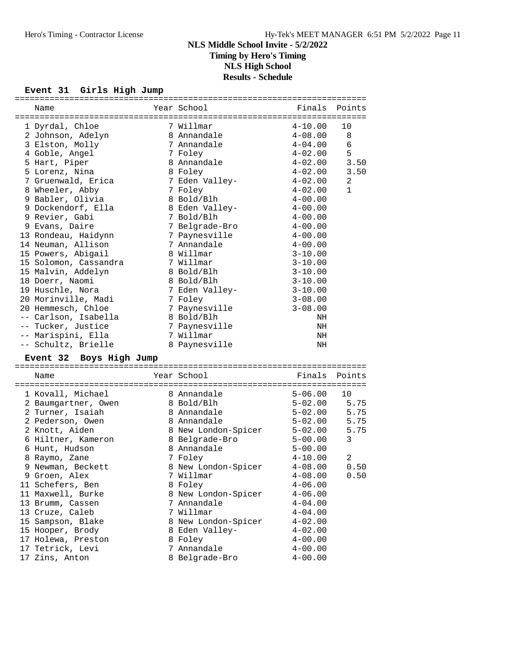#### **Event 31 Girls High Jump**

| Name                               | Year School                   | Finals Points              |                |
|------------------------------------|-------------------------------|----------------------------|----------------|
| 1 Dyrdal, Chloe                    | 7 Willmar                     | $4 - 10.00$                | 10             |
| 2 Johnson, Adelyn                  | 8 Annandale                   | $4 - 08.00$                | 8              |
| 3 Elston, Molly                    | 7 Annandale                   | $4 - 04.00$                | 6              |
| 4 Goble, Angel                     | 7 Foley                       | $4 - 02.00$                | 5              |
| 5 Hart, Piper                      | 8 Annandale                   | $4 - 02.00$                | 3.50           |
| 5 Lorenz, Nina                     | 8 Foley                       | $4 - 02.00$                | 3.50           |
| 7 Gruenwald, Erica                 | 7 Eden Valley-                | $4 - 02.00$                | 2              |
| 8 Wheeler, Abby                    | 7 Foley                       | $4 - 02.00$                | $\mathbf{1}$   |
| 9 Babler, Olivia                   | 8 Bold/Blh                    | $4 - 00.00$                |                |
| 9 Dockendorf, Ella                 | 8 Eden Valley-                | $4 - 00.00$                |                |
| 9 Revier, Gabi                     | 7 Bold/Blh                    | $4 - 00.00$                |                |
| 9 Evans, Daire                     | 7 Belgrade-Bro                | $4 - 00.00$                |                |
| 13 Rondeau, Haidynn                | 7 Paynesville                 | $4 - 00.00$                |                |
| 14 Neuman, Allison                 | 7 Annandale                   | $4 - 00.00$                |                |
| 15 Powers, Abigail                 | 8 Willmar                     | $3 - 10.00$                |                |
| 15 Solomon, Cassandra              | 7 Willmar                     | $3 - 10.00$                |                |
| 15 Malvin, Addelyn                 | 8 Bold/Blh                    | $3 - 10.00$                |                |
| 18 Doerr, Naomi                    | 8 Bold/Blh                    | $3 - 10.00$                |                |
| 19 Huschle, Nora                   | 7 Eden Valley-                | $3 - 10.00$                |                |
| 20 Morinville, Madi                | 7 Foley                       | $3 - 08.00$                |                |
| 20 Hemmesch, Chloe                 | 7 Paynesville                 | $3 - 08.00$                |                |
| -- Carlson, Isabella               | 8 Bold/Blh                    | NH                         |                |
| -- Tucker, Justice                 | 7 Paynesville                 | NH                         |                |
| -- Marispini, Ella                 | 7 Willmar                     | NH                         |                |
| -- Schultz, Brielle                | 8 Paynesville                 | NH                         |                |
| Event 32 Boys High Jump            |                               |                            |                |
| Name                               |                               |                            |                |
|                                    | Year School                   |                            | Finals Points  |
|                                    |                               |                            |                |
| 1 Kovall, Michael                  | 8 Annandale                   | $5 - 06.00$                | 10             |
| 2 Baumgartner, Owen                | 8 Bold/Blh                    | $5 - 02.00$ 5.75           |                |
| 2 Turner, Isaiah                   | 8 Annandale                   | 5-02.00                    | 5.75           |
| 2 Pederson, Owen                   | 8 Annandale                   |                            | 5.75           |
| 2 Knott, Aiden                     | 8 New London-Spicer           | 5-02.00<br>5-02.00         | 5.75           |
| 6 Hiltner, Kameron                 | 8 Belgrade-Bro                | $5 - 00.00$                | $\mathbf{3}$   |
| 6 Hunt, Hudson                     | 8 Annandale                   | $5 - 00.00$                |                |
| 8 Raymo, Zane                      | 7 Foley                       | $4 - 10.00$                | $\overline{2}$ |
| 9 Newman, Beckett                  | 8 New London-Spicer           | $4 - 08.00$                | 0.50           |
| 9 Groen, Alex                      | 7 Willmar                     | $4 - 08.00$                | 0.50           |
| 11 Schefers, Ben                   | 8 Foley                       | $4 - 06.00$                |                |
| 11 Maxwell, Burke                  | 8 New London-Spicer           | $4 - 06.00$                |                |
| 13 Brumm, Cassen                   | 7 Annandale                   | $4 - 04.00$                |                |
| 13 Cruze, Caleb                    | 7 Willmar                     | $4 - 04.00$                |                |
| 15 Sampson, Blake                  | 8 New London-Spicer           | $4 - 02.00$                |                |
| 15 Hooper, Brody                   | 8 Eden Valley-                | $4 - 02.00$                |                |
| 17 Holewa, Preston                 | 8 Foley                       | $4 - 00.00$                |                |
| 17 Tetrick, Levi<br>17 Zins, Anton | 7 Annandale<br>8 Belgrade-Bro | $4 - 00.00$<br>$4 - 00.00$ |                |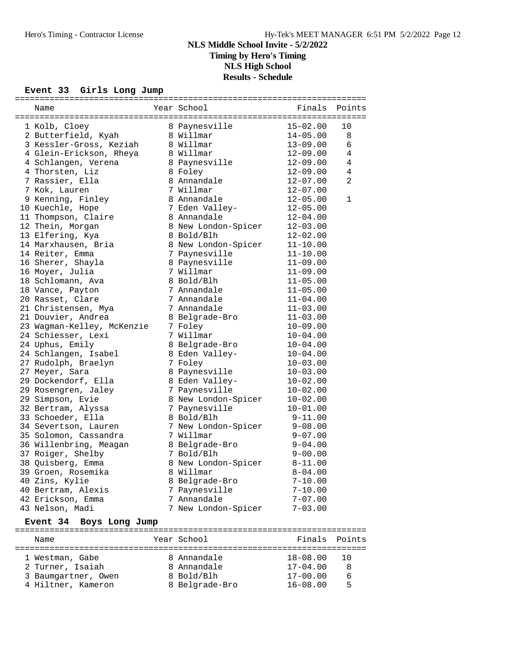## **NLS Middle School Invite - 5/2/2022 Timing by Hero's Timing NLS High School**

## **Results - Schedule**

# **Event 33 Girls Long Jump**

|      | --- <i>--</i> ----- ----             |                             |              |               |
|------|--------------------------------------|-----------------------------|--------------|---------------|
| Name |                                      | Year School <b>Sandware</b> |              | Finals Points |
|      | 1 Kolb, Cloey                        | 8 Paynesville               | $15 - 02.00$ | 10            |
|      | 2 Butterfield, Kyah                  | 8 Willmar                   | $14 - 05.00$ | 8             |
|      | 3 Kessler-Gross, Keziah              | 8 Willmar                   | $13 - 09.00$ | 6             |
|      | 4 Glein-Erickson, Rheya              | 8 Willmar                   | $12 - 09.00$ | $\,4$         |
|      | 4 Schlangen, Verena                  | 8 Paynesville               | $12 - 09.00$ | 4             |
|      | 4 Thorsten, Liz                      | 8 Foley                     | $12 - 09.00$ | $\,4$         |
|      | 7 Rassier, Ella                      | 8 Annandale                 | $12 - 07.00$ | 2             |
|      | 7 Kok, Lauren                        | 7 Willmar                   | $12 - 07.00$ |               |
|      | 9 Kenning, Finley                    | 8 Annandale                 | $12 - 05.00$ | 1             |
|      | 10 Kuechle, Hope                     | 7 Eden Valley-              | $12 - 05.00$ |               |
|      | 11 Thompson, Claire                  | 8 Annandale                 | $12 - 04.00$ |               |
|      | 12 Thein, Morgan                     | 8 New London-Spicer         | $12 - 03.00$ |               |
|      | 13 Elfering, Kya                     | 8 Bold/Blh                  | $12 - 02.00$ |               |
|      | 14 Marxhausen, Bria                  | 8 New London-Spicer         | $11 - 10.00$ |               |
|      | 14 Reiter, Emma                      | 7 Paynesville               | $11 - 10.00$ |               |
|      | 16 Sherer, Shayla                    | 8 Paynesville               | $11 - 09.00$ |               |
|      | 16 Moyer, Julia                      | 7 Willmar                   | $11 - 09.00$ |               |
|      | 18 Schlomann, Ava                    | 8 Bold/Blh                  | $11 - 05.00$ |               |
|      | 18 Vance, Payton                     | 7 Annandale                 | $11 - 05.00$ |               |
|      | 20 Rasset, Clare                     | 7 Annandale                 | $11 - 04.00$ |               |
|      | 21 Christensen, Mya                  | 7 Annandale                 | $11 - 03.00$ |               |
|      | 21 Douvier, Andrea                   | 8 Belgrade-Bro              | $11 - 03.00$ |               |
|      | 23 Wagman-Kelley, McKenzie           | 7 Foley                     | $10 - 09.00$ |               |
|      | 24 Schiesser, Lexi                   | 7 Willmar                   | $10 - 04.00$ |               |
|      | 24 Uphus, Emily                      | 8 Belgrade-Bro              | $10 - 04.00$ |               |
|      | 24 Schlangen, Isabel                 | 8 Eden Valley-              | $10 - 04.00$ |               |
|      | 27 Rudolph, Braelyn                  | 7 Foley                     | $10 - 03.00$ |               |
|      | 27 Meyer, Sara                       | 8 Paynesville               | $10 - 03.00$ |               |
|      | 29 Dockendorf, Ella                  | 8 Eden Valley-              | $10 - 02.00$ |               |
|      | 29 Rosengren, Jaley                  | 7 Paynesville               | $10 - 02.00$ |               |
|      | 29 Simpson, Evie                     | 8 New London-Spicer         | $10 - 02.00$ |               |
|      | 32 Bertram, Alyssa                   | 7 Paynesville               | $10 - 01.00$ |               |
|      | 33 Schoeder, Ella                    | 8 Bold/Blh                  | $9 - 11.00$  |               |
|      | 34 Severtson, Lauren                 | 7 New London-Spicer         | $9 - 08.00$  |               |
|      | 35 Solomon, Cassandra                | 7 Willmar                   | $9 - 07.00$  |               |
|      | 36 Willenbring, Meagan               | 8 Belgrade-Bro              | $9 - 04.00$  |               |
|      | 37 Roiger, Shelby                    | 7 Bold/Blh                  | $9 - 00.00$  |               |
|      | 38 Quisberg, Emma                    | 8 New London-Spicer         | $8 - 11.00$  |               |
|      |                                      | 8 Willmar                   | $8 - 04.00$  |               |
|      | 39 Groen, Rosemika<br>40 Zins, Kylie | 8 Belgrade-Bro              | $7 - 10.00$  |               |
|      | 40 Bertram, Alexis                   | 7 Paynesville               | $7 - 10.00$  |               |
|      | 42 Erickson, Emma                    | 7 Annandale                 | $7 - 07.00$  |               |
|      | 43 Nelson, Madi                      | 7 New London-Spicer         | $7 - 03.00$  |               |
|      |                                      |                             |              |               |

#### **Event 34 Boys Long Jump**

| Name                |  | Year School    | Finals Points |       |  |  |  |  |
|---------------------|--|----------------|---------------|-------|--|--|--|--|
| 1 Westman, Gabe     |  | 8 Annandale    | $18 - 08.00$  | - 1 O |  |  |  |  |
| 2 Turner, Isaiah    |  | 8 Annandale    | $17 - 04.00$  | 8     |  |  |  |  |
| 3 Baumgartner, Owen |  | 8 Bold/Blh     | $17 - 00.00$  | 6     |  |  |  |  |
| 4 Hiltner, Kameron  |  | 8 Belgrade-Bro | $16 - 08.00$  | 5     |  |  |  |  |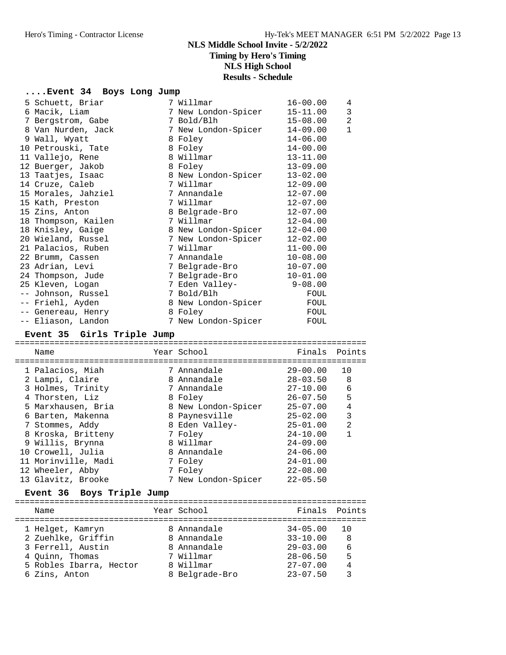## **....Event 34 Boys Long Jump**

| 5 Schuett, Briar    | 7 Willmar           | $16 - 00.00$ | 4              |
|---------------------|---------------------|--------------|----------------|
| 6 Macik, Liam       | 7 New London-Spicer | $15 - 11.00$ | 3              |
| 7 Bergstrom, Gabe   | 7 Bold/Blh          | $15 - 08.00$ | $\overline{2}$ |
| 8 Van Nurden, Jack  | 7 New London-Spicer | $14 - 09.00$ | $\mathbf{1}$   |
| 9 Wall, Wyatt       | 8 Foley             | $14 - 06.00$ |                |
| 10 Petrouski, Tate  | 8 Foley             | $14 - 00.00$ |                |
| 11 Vallejo, Rene    | 8 Willmar           | $13 - 11.00$ |                |
| 12 Buerger, Jakob   | 8 Foley             | $13 - 09.00$ |                |
| 13 Taatjes, Isaac   | 8 New London-Spicer | $13 - 02.00$ |                |
| 14 Cruze, Caleb     | 7 Willmar           | $12 - 09.00$ |                |
| 15 Morales, Jahziel | 7 Annandale         | $12 - 07.00$ |                |
| 15 Kath, Preston    | 7 Willmar           | $12 - 07.00$ |                |
| 15 Zins, Anton      | 8 Belgrade-Bro      | $12 - 07.00$ |                |
| 18 Thompson, Kailen | 7 Willmar           | $12 - 04.00$ |                |
| 18 Knisley, Gaige   | 8 New London-Spicer | $12 - 04.00$ |                |
| 20 Wieland, Russel  | 7 New London-Spicer | $12 - 02.00$ |                |
| 21 Palacios, Ruben  | 7 Willmar           | $11 - 00.00$ |                |
| 22 Brumm, Cassen    | 7 Annandale         | $10 - 08.00$ |                |
| 23 Adrian, Levi     | 7 Belgrade-Bro      | $10 - 07.00$ |                |
| 24 Thompson, Jude   | 7 Belgrade-Bro      | $10 - 01.00$ |                |
| 25 Kleven, Logan    | 7 Eden Valley-      | $9 - 08.00$  |                |
| -- Johnson, Russel  | 7 Bold/Blh          | FOUL         |                |
| -- Friehl, Ayden    | 8 New London-Spicer | FOUL         |                |
| -- Genereau, Henry  | 8 Foley             | FOUL         |                |
| -- Eliason, Landon  | 7 New London-Spicer | FOUL         |                |

### **Event 35 Girls Triple Jump**

| Name                | Year School         | Finals Points |                |
|---------------------|---------------------|---------------|----------------|
|                     |                     |               |                |
| 1 Palacios, Miah    | 7 Annandale         | $29 - 00.00$  | 10             |
| 2 Lampi, Claire     | 8 Annandale         | $28 - 03.50$  | 8              |
| 3 Holmes, Trinity   | 7 Annandale         | $27 - 10.00$  | 6              |
| 4 Thorsten, Liz     | 8 Foley             | $26 - 07.50$  | 5              |
| 5 Marxhausen, Bria  | 8 New London-Spicer | $25 - 07.00$  | 4              |
| 6 Barten, Makenna   | 8 Paynesville       | $25 - 02.00$  | 3              |
| 7 Stommes, Addy     | 8 Eden Valley-      | $25 - 01.00$  | $\mathfrak{D}$ |
| 8 Kroska, Britteny  | 7 Foley             | $24 - 10.00$  |                |
| 9 Willis, Brynna    | 8 Willmar           | $24 - 09.00$  |                |
| 10 Crowell, Julia   | 8 Annandale         | $24 - 06.00$  |                |
| 11 Morinville, Madi | 7 Foley             | $24 - 01.00$  |                |
| 12 Wheeler, Abby    | 7 Foley             | $22 - 08.00$  |                |
| 13 Glavitz, Brooke  | 7 New London-Spicer | $22 - 05.50$  |                |
|                     |                     |               |                |

### **Event 36 Boys Triple Jump**

|  | Name                    |  | Year School    | Finals Points |     |  |
|--|-------------------------|--|----------------|---------------|-----|--|
|  | 1 Helget, Kamryn        |  | 8 Annandale    | $34 - 05.00$  | 1 O |  |
|  | 2 Zuehlke, Griffin      |  | 8 Annandale    | $33 - 10.00$  | 8   |  |
|  | 3 Ferrell, Austin       |  | 8 Annandale    | $29 - 03.00$  | 6   |  |
|  | 4 Ouinn, Thomas         |  | 7 Willmar      | $28 - 06.50$  | 5   |  |
|  | 5 Robles Ibarra, Hector |  | 8 Willmar      | $27 - 07.00$  | 4   |  |
|  | 6 Zins, Anton           |  | 8 Belgrade-Bro | $23 - 07.50$  |     |  |